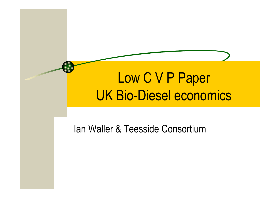# Low C V P Paper UK Bio-Diesel economics

#### Ian Waller & Teesside Consortium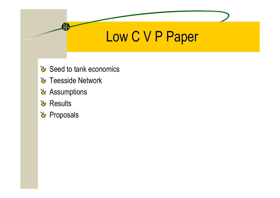# Low C V P Paper

- $\&$  Seed to tank economics
- **₹** Teesside Network
- & Assumptions
- **& Results**
- **L**<sup>t</sup> Proposals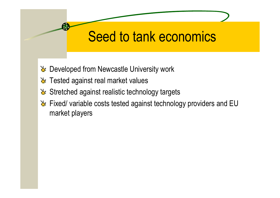# Seed to tank economics

- Developed from Newcastle University work
- **Tested against real market values**
- & Stretched against realistic technology targets
- Fixed/ variable costs tested against technology providers and EU market players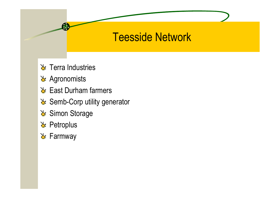#### Teesside Network

- Terra Industries
- & Agronomists
- $\&$  East Durham farmers
- Semb-Corp utility generator
- Simon Storage
- **L**<sup>t</sup> Petroplus
- **L** Farmway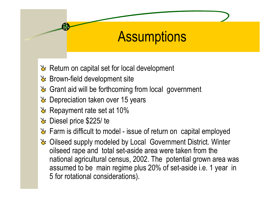# **Assumptions**

- $\mathcal{X}$  Return on capital set for local development
- Brown-field development site
- & Grant aid will be forthcoming from local government
- Depreciation taken over 15 years
- $\&$  Repayment rate set at 10%
- Diesel price \$225/ te
- Farm is difficult to model issue of return on capital employed
- Oilseed supply modeled by Local Government District. Winter oilseed rape and total set-aside area were taken from the national agricultural census, 2002. The potential grown area was assumed to be main regime plus 20% of set-aside i.e. 1 year in 5 for rotational considerations).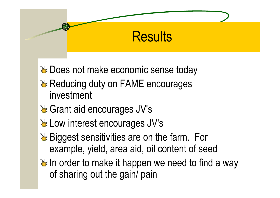### **Results**

**L** Does not make economic sense today

- & Reducing duty on FAME encourages investment
- & Grant aid encourages JV's
- Low interest encourages JV's
- **Late Biggest sensitivities are on the farm. For** example, yield, area aid, oil content of seed
- $\geq$  In order to make it happen we need to find a way of sharing out the gain/ pain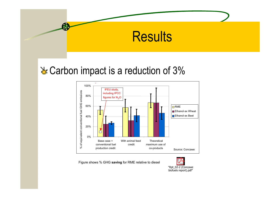

#### & Carbon impact is a reduction of 3%



Figure shows % GHG **saving** for RME relative to diesel

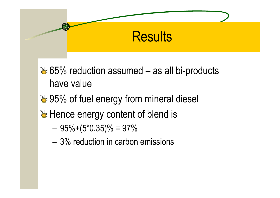### **Results**

65% reduction assumed – as all bi-products have value

**₹95% of fuel energy from mineral diesel** 

 $\&$  Hence energy content of blend is

- –95%+(5\*0.35)% = 97%
- 3% reduction in carbon emissions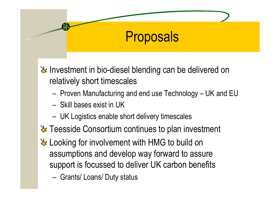### **Proposals**

 $\mathbf{\Sigma}$  Investment in bio-diesel blending can be delivered on relatively short timescales

- –– Proven Manufacturing and end use Technology – UK and EU
- Skill bases exist in UK
- –UK Logistics enable short delivery timescales
- Teesside Consortium continues to plan investment
- Looking for involvement with HMG to build on assumptions and develop way forward to assure support is focussed to deliver UK carbon benefits
	- Grants/ Loans/ Duty status